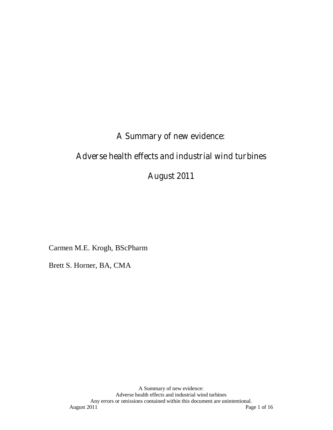# **A Summary of new evidence:**

# **Adverse health effects and industrial wind turbines**

## **August 2011**

Carmen M.E. Krogh, BScPharm

Brett S. Horner, BA, CMA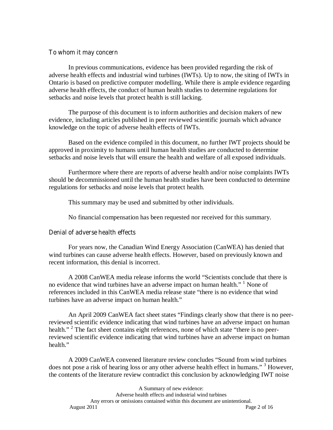## **To whom it may concern**

In previous communications, evidence has been provided regarding the risk of adverse health effects and industrial wind turbines (IWTs). Up to now, the siting of IWTs in Ontario is based on predictive computer modelling. While there is ample evidence regarding adverse health effects, the conduct of human health studies to determine regulations for setbacks and noise levels that protect health is still lacking.

The purpose of this document is to inform authorities and decision makers of new evidence, including articles published in peer reviewed scientific journals which advance knowledge on the topic of adverse health effects of IWTs.

Based on the evidence compiled in this document, no further IWT projects should be approved in proximity to humans until human health studies are conducted to determine setbacks and noise levels that will ensure the health and welfare of all exposed individuals.

Furthermore where there are reports of adverse health and/or noise complaints IWTs should be decommissioned until the human health studies have been conducted to determine regulations for setbacks and noise levels that protect health.

This summary may be used and submitted by other individuals.

No financial compensation has been requested nor received for this summary.

## **Denial of adverse health effects**

For years now, the Canadian Wind Energy Association (CanWEA) has denied that wind turbines can cause adverse health effects. However, based on previously known and recent information, this denial is incorrect.

A 2008 CanWEA media release informs the world "Scientists conclude that there is no evidence that wind turbines have an adverse impact on human health." <sup>1</sup> None of references included in this CanWEA media release state "there is no evidence that wind turbines have an adverse impact on human health."

An April 2009 CanWEA fact sheet states "Findings clearly show that there is no peerreviewed scientific evidence indicating that wind turbines have an adverse impact on human health." <sup>2</sup> The fact sheet contains eight references, none of which state "there is no peerreviewed scientific evidence indicating that wind turbines have an adverse impact on human health."

A 2009 CanWEA convened literature review concludes "Sound from wind turbines does not pose a risk of hearing loss or any other adverse health effect in humans."<sup>3</sup> However, the contents of the literature review contradict this conclusion by acknowledging IWT noise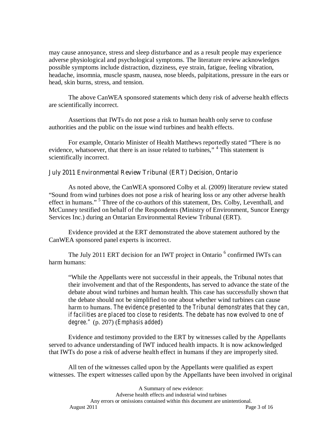may cause annoyance, stress and sleep disturbance and as a result people may experience adverse physiological and psychological symptoms. The literature review acknowledges possible symptoms include distraction, dizziness, eye strain, fatigue, feeling vibration, headache, insomnia, muscle spasm, nausea, nose bleeds, palpitations, pressure in the ears or head, skin burns, stress, and tension.

The above CanWEA sponsored statements which deny risk of adverse health effects are scientifically incorrect.

Assertions that IWTs do not pose a risk to human health only serve to confuse authorities and the public on the issue wind turbines and health effects.

For example, Ontario Minister of Health Matthews reportedly stated "There is no evidence, whatsoever, that there is an issue related to turbines," <sup>4</sup> This statement is scientifically incorrect.

## **July 2011 Environmental Review Tribunal (ERT) Decision, Ontario**

As noted above, the CanWEA sponsored Colby et al. (2009) literature review stated "Sound from wind turbines does not pose a risk of hearing loss or any other adverse health effect in humans."<sup>5</sup> Three of the co-authors of this statement, Drs. Colby, Leventhall, and McCunney testified on behalf of the Respondents (Ministry of Environment, Suncor Energy Services Inc.) during an Ontarian Environmental Review Tribunal (ERT).

 Evidence provided at the ERT demonstrated the above statement authored by the CanWEA sponsored panel experts is incorrect.

The July 2011 ERT decision for an IWT project in Ontario<sup>6</sup> confirmed IWTs can harm humans:

"While the Appellants were not successful in their appeals, the Tribunal notes that their involvement and that of the Respondents, has served to advance the state of the debate about wind turbines and human health. This case has successfully shown that the debate should not be simplified to one about whether wind turbines can cause harm to humans. *The evidence presented to the Tribunal demonstrates that they can, if facilities are placed too close to residents. The debate has now evolved to one of degree."* (p. 207) (*Emphasis added*)

Evidence and testimony provided to the ERT by witnesses called by the Appellants served to advance understanding of IWT induced health impacts. It is now acknowledged that IWTs do pose a risk of adverse health effect in humans if they are improperly sited.

All ten of the witnesses called upon by the Appellants were qualified as expert witnesses. The expert witnesses called upon by the Appellants have been involved in original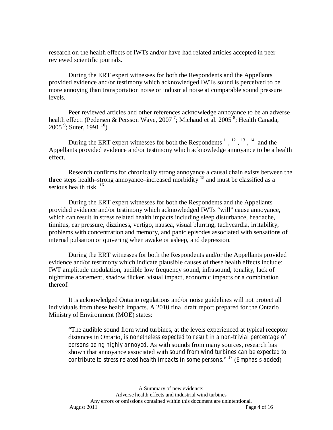research on the health effects of IWTs and/or have had related articles accepted in peer reviewed scientific journals.

During the ERT expert witnesses for both the Respondents and the Appellants provided evidence and/or testimony which acknowledged IWTs sound is perceived to be more annoying than transportation noise or industrial noise at comparable sound pressure levels.

Peer reviewed articles and other references acknowledge annoyance to be an adverse health effect. (Pedersen & Persson Waye, 2007<sup>7</sup>; Michaud et al. 2005<sup>8</sup>; Health Canada,  $2005<sup>9</sup>$ ; Suter, 1991<sup>10</sup>)

During the ERT expert witnesses for both the Respondents  $^{11}$ ,  $^{12}$ ,  $^{13}$ ,  $^{14}$  and the Appellants provided evidence and/or testimony which acknowledge annoyance to be a health effect.

Research confirms for chronically strong annoyance a causal chain exists between the three steps health–strong annoyance–increased morbidity  $1<sup>5</sup>$  and must be classified as a serious health risk.  $^{16}$ 

During the ERT expert witnesses for both the Respondents and the Appellants provided evidence and/or testimony which acknowledged IWTs "will" cause annoyance, which can result in stress related health impacts including sleep disturbance, headache, tinnitus, ear pressure, dizziness, vertigo, nausea, visual blurring, tachycardia, irritability, problems with concentration and memory, and panic episodes associated with sensations of internal pulsation or quivering when awake or asleep, and depression.

During the ERT witnesses for both the Respondents and/or the Appellants provided evidence and/or testimony which indicate plausible causes of these health effects include: IWT amplitude modulation, audible low frequency sound, infrasound, tonality, lack of nighttime abatement, shadow flicker, visual impact, economic impacts or a combination thereof.

It is acknowledged Ontario regulations and/or noise guidelines will not protect all individuals from these health impacts. A 2010 final draft report prepared for the Ontario Ministry of Environment (MOE) states:

"The audible sound from wind turbines, at the levels experienced at typical receptor distances in Ontario, *is nonetheless expected to result in a non-trivial percentage of persons being highly annoyed*. As with sounds from many sources, research has shown that annoyance associated with *sound from wind turbines can be expected to contribute to stress related health impacts in some persons*." 17 (*Emphasis added*)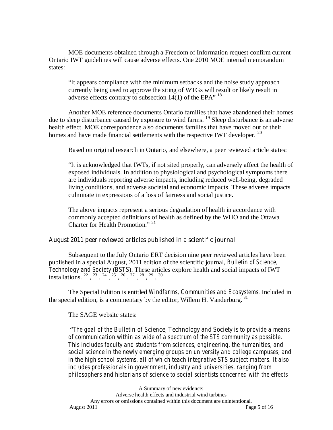MOE documents obtained through a Freedom of Information request confirm current Ontario IWT guidelines will cause adverse effects. One 2010 MOE internal memorandum states:

"It appears compliance with the minimum setbacks and the noise study approach currently being used to approve the siting of WTGs will result or likely result in adverse effects contrary to subsection 14(1) of the EPA"  $^{18}$ 

Another MOE reference documents Ontario families that have abandoned their homes due to sleep disturbance caused by exposure to wind farms. <sup>19</sup> Sleep disturbance is an adverse health effect. MOE correspondence also documents families that have moved out of their homes and have made financial settlements with the respective IWT developer. <sup>20</sup>

Based on original research in Ontario, and elsewhere, a peer reviewed article states:

"It is acknowledged that IWTs, if not sited properly, can adversely affect the health of exposed individuals. In addition to physiological and psychological symptoms there are individuals reporting adverse impacts, including reduced well-being, degraded living conditions, and adverse societal and economic impacts. These adverse impacts culminate in expressions of a loss of fairness and social justice.

The above impacts represent a serious degradation of health in accordance with commonly accepted definitions of health as defined by the WHO and the Ottawa Charter for Health Promotion." <sup>21</sup>

#### **August 2011 peer reviewed articles published in a scientific journal**

Subsequent to the July Ontario ERT decision nine peer reviewed articles have been published in a special August, 2011 edition of the scientific journal, *Bulletin of Science, Technology and Society* (*BSTS*). These articles explore health and social impacts of IWT installations.  $^{22}$ ,  $^{23}$ ,  $^{24}$ ,  $^{25}$ ,  $^{26}$ ,  $^{27}$ ,  $^{28}$ ,  $^{29}$ ,  $^{30}$ 

The Special Edition is entitled *Windfarms, Communities and Ecosystems.* Included in the special edition, is a commentary by the editor, Willem H. Vanderburg.<sup>31</sup>

#### The SAGE website states:

 "*The goal of the Bulletin of Science, Technology and Society is to provide a means of communication within as wide of a spectrum of the STS community as possible. This includes faculty and students from sciences, engineering, the humanities, and social science in the newly emerging groups on university and college campuses, and in the high school systems, all of which teach integrative STS subject matters. It also includes professionals in government, industry and universities, ranging from philosophers and historians of science to social scientists concerned with the effects*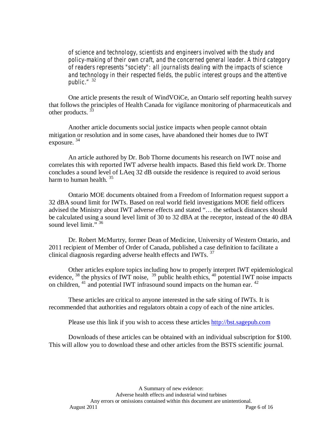*of science and technology, scientists and engineers involved with the study and policy-making of their own craft, and the concerned general leader. A third category of readers represents "society": all journalists dealing with the impacts of science and technology in their respected fields, the public interest groups and the attentive public."* <sup>32</sup>

One article presents the result of WindVOiCe, an Ontario self reporting health survey that follows the principles of Health Canada for vigilance monitoring of pharmaceuticals and other products.<sup>33</sup>

Another article documents social justice impacts when people cannot obtain mitigation or resolution and in some cases, have abandoned their homes due to IWT exposure.  $34$ 

An article authored by Dr. Bob Thorne documents his research on IWT noise and correlates this with reported IWT adverse health impacts. Based this field work Dr. Thorne concludes a sound level of LAeq 32 dB outside the residence is required to avoid serious harm to human health.  $35$ 

Ontario MOE documents obtained from a Freedom of Information request support a 32 dBA sound limit for IWTs. Based on real world field investigations MOE field officers advised the Ministry about IWT adverse effects and stated "… the setback distances should be calculated using a sound level limit of 30 to 32 dBA at the receptor, instead of the 40 dBA sound level  $\lim_{x \to 36}$ 

Dr. Robert McMurtry, former Dean of Medicine, University of Western Ontario, and 2011 recipient of Member of Order of Canada, published a case definition to facilitate a clinical diagnosis regarding adverse health effects and IWTs.  $37$ 

Other articles explore topics including how to properly interpret IWT epidemiological evidence,  $38$  the physics of IWT noise,  $39$  public health ethics,  $40$  potential IWT noise impacts on children,  $41$  and potential IWT infrasound sound impacts on the human ear.  $42$ 

These articles are critical to anyone interested in the safe siting of IWTs. It is recommended that authorities and regulators obtain a copy of each of the nine articles.

Please use this link if you wish to access these articles http://bst.sagepub.com

Downloads of these articles can be obtained with an individual subscription for \$100. This will allow you to download these and other articles from the BSTS scientific journal.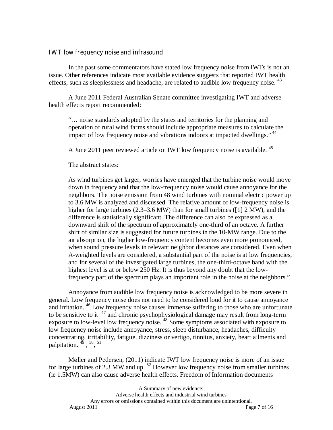#### **IWT low frequency noise and infrasound**

In the past some commentators have stated low frequency noise from IWTs is not an issue. Other references indicate most available evidence suggests that reported IWT health effects, such as sleeplessness and headache, are related to audible low frequency noise.  $43$ 

A June 2011 Federal Australian Senate committee investigating IWT and adverse health effects report recommended:

"… noise standards adopted by the states and territories for the planning and operation of rural wind farms should include appropriate measures to calculate the impact of low frequency noise and vibrations indoors at impacted dwellings."<sup>44</sup>

A June 2011 peer reviewed article on IWT low frequency noise is available. <sup>45</sup>

The abstract states:

As wind turbines get larger, worries have emerged that the turbine noise would move down in frequency and that the low-frequency noise would cause annoyance for the neighbors. The noise emission from 48 wind turbines with nominal electric power up to 3.6 MW is analyzed and discussed. The relative amount of low-frequency noise is higher for large turbines (2.3–3.6 MW) than for small turbines ( $\left[1\right]$  2 MW), and the difference is statistically significant. The difference can also be expressed as a downward shift of the spectrum of approximately one-third of an octave. A further shift of similar size is suggested for future turbines in the 10-MW range. Due to the air absorption, the higher low-frequency content becomes even more pronounced, when sound pressure levels in relevant neighbor distances are considered. Even when A-weighted levels are considered, a substantial part of the noise is at low frequencies, and for several of the investigated large turbines, the one-third-octave band with the highest level is at or below 250 Hz. It is thus beyond any doubt that the lowfrequency part of the spectrum plays an important role in the noise at the neighbors."

Annoyance from audible low frequency noise is acknowledged to be more severe in general. Low frequency noise does not need to be considered loud for it to cause annoyance and irritation.<sup>46</sup> Low frequency noise causes immense suffering to those who are unfortunate to be sensitive to it  $47$  and chronic psychophysiological damage may result from long-term exposure to low-level low frequency noise.<sup>48</sup> Some symptoms associated with exposure to low frequency noise include annoyance, stress, sleep disturbance, headaches, difficulty concentrating, irritability, fatigue, dizziness or vertigo, tinnitus, anxiety, heart ailments and palpitation.  $49^{\circ}$ ,  $50^{\circ}$ ,  $51^{\circ}$ 

Møller and Pedersen, (2011) indicate IWT low frequency noise is more of an issue for large turbines of 2.3 MW and up.  $52$  However low frequency noise from smaller turbines (ie 1.5MW) can also cause adverse health effects. Freedom of Information documents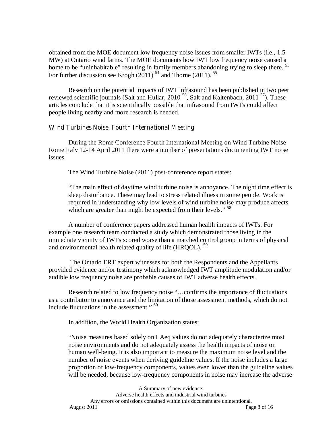obtained from the MOE document low frequency noise issues from smaller IWTs (i.e., 1.5 MW) at Ontario wind farms. The MOE documents how IWT low frequency noise caused a home to be "uninhabitable" resulting in family members abandoning trying to sleep there. <sup>53</sup> For further discussion see Krogh  $(2011)^{54}$  and Thorne (2011). <sup>55</sup>

Research on the potential impacts of IWT infrasound has been published in two peer reviewed scientific journals (Salt and Hullar, 2010<sup>56</sup>, Salt and Kaltenbach, 2011<sup>57</sup>). These articles conclude that it is scientifically possible that infrasound from IWTs could affect people living nearby and more research is needed.

#### **Wind Turbines Noise, Fourth International Meeting**

During the Rome Conference Fourth International Meeting on Wind Turbine Noise Rome Italy 12-14 April 2011 there were a number of presentations documenting IWT noise issues.

The Wind Turbine Noise (2011) post-conference report states:

"The main effect of daytime wind turbine noise is annoyance. The night time effect is sleep disturbance. These may lead to stress related illness in some people. Work is required in understanding why low levels of wind turbine noise may produce affects which are greater than might be expected from their levels." <sup>58</sup>

A number of conference papers addressed human health impacts of IWTs. For example one research team conducted a study which demonstrated those living in the immediate vicinity of IWTs scored worse than a matched control group in terms of physical and environmental health related quality of life (HRQOL). <sup>59</sup>

 The Ontario ERT expert witnesses for both the Respondents and the Appellants provided evidence and/or testimony which acknowledged IWT amplitude modulation and/or audible low frequency noise are probable causes of IWT adverse health effects.

Research related to low frequency noise "…confirms the importance of fluctuations as a contributor to annoyance and the limitation of those assessment methods, which do not include fluctuations in the assessment." <sup>60</sup>

In addition, the World Health Organization states:

"Noise measures based solely on LAeq values do not adequately characterize most noise environments and do not adequately assess the health impacts of noise on human well-being. It is also important to measure the maximum noise level and the number of noise events when deriving guideline values. If the noise includes a large proportion of low-frequency components, values even lower than the guideline values will be needed, because low-frequency components in noise may increase the adverse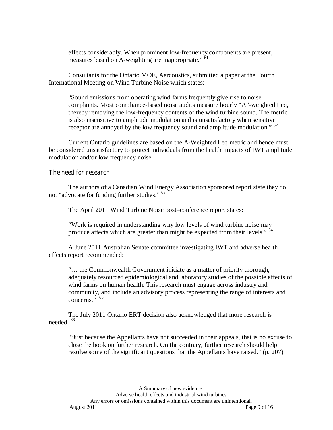effects considerably. When prominent low-frequency components are present, measures based on A-weighting are inappropriate."  $\frac{1}{61}$ 

Consultants for the Ontario MOE, Aercoustics, submitted a paper at the Fourth International Meeting on Wind Turbine Noise which states:

"Sound emissions from operating wind farms frequently give rise to noise complaints. Most compliance-based noise audits measure hourly "A"-weighted Leq, thereby removing the low-frequency contents of the wind turbine sound. The metric is also insensitive to amplitude modulation and is unsatisfactory when sensitive receptor are annoyed by the low frequency sound and amplitude modulation." <sup>62</sup>

Current Ontario guidelines are based on the A-Weighted Leq metric and hence must be considered unsatisfactory to protect individuals from the health impacts of IWT amplitude modulation and/or low frequency noise.

#### **The need for research**

The authors of a Canadian Wind Energy Association sponsored report state they do not "advocate for funding further studies." <sup>63</sup>

The April 2011 Wind Turbine Noise post–conference report states:

"Work is required in understanding why low levels of wind turbine noise may produce affects which are greater than might be expected from their levels." <sup>64</sup>

A June 2011 Australian Senate committee investigating IWT and adverse health effects report recommended:

"… the Commonwealth Government initiate as a matter of priority thorough, adequately resourced epidemiological and laboratory studies of the possible effects of wind farms on human health. This research must engage across industry and community, and include an advisory process representing the range of interests and concerns."  $65$ 

The July 2011 Ontario ERT decision also acknowledged that more research is needed. <sup>66</sup>

 "Just because the Appellants have not succeeded in their appeals, that is no excuse to close the book on further research. On the contrary, further research should help resolve some of the significant questions that the Appellants have raised." (p. 207)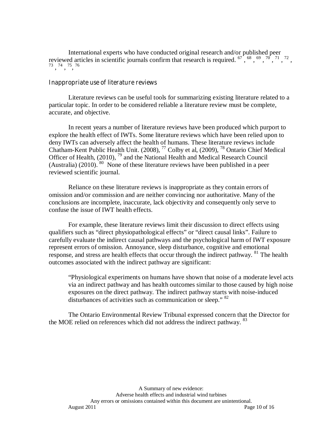International experts who have conducted original research and/or published peer reviewed articles in scientific journals confirm that research is required.  $67^{68}, 69^{69}, 70^{71}, 72, 73^{74}, 75^{76}$ 

#### **Inappropriate use of literature reviews**

Literature reviews can be useful tools for summarizing existing literature related to a particular topic. In order to be considered reliable a literature review must be complete, accurate, and objective.

In recent years a number of literature reviews have been produced which purport to explore the health effect of IWTs. Some literature reviews which have been relied upon to deny IWTs can adversely affect the health of humans. These literature reviews include Chatham-Kent Public Health Unit. (2008), 77 Colby et al, (2009), 78 Ontario Chief Medical Officer of Health, (2010), <sup>79</sup> and the National Health and Medical Research Council (Australia)  $(2010)$ .  $80$  None of these literature reviews have been published in a peer reviewed scientific journal.

Reliance on these literature reviews is inappropriate as they contain errors of omission and/or commission and are neither convincing nor authoritative. Many of the conclusions are incomplete, inaccurate, lack objectivity and consequently only serve to confuse the issue of IWT health effects.

For example, these literature reviews limit their discussion to direct effects using qualifiers such as "direct physiopathological effects" or "direct causal links". Failure to carefully evaluate the indirect causal pathways and the psychological harm of IWT exposure represent errors of omission. Annoyance, sleep disturbance, cognitive and emotional response, and stress are health effects that occur through the indirect pathway. <sup>81</sup> The health outcomes associated with the indirect pathway are significant:

"Physiological experiments on humans have shown that noise of a moderate level acts via an indirect pathway and has health outcomes similar to those caused by high noise exposures on the direct pathway. The indirect pathway starts with noise-induced disturbances of activities such as communication or sleep." <sup>82</sup>

The Ontario Environmental Review Tribunal expressed concern that the Director for the MOE relied on references which did not address the indirect pathway. <sup>83</sup>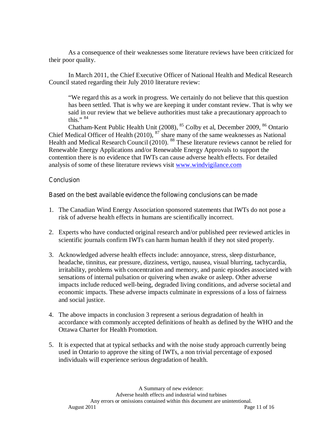As a consequence of their weaknesses some literature reviews have been criticized for their poor quality.

In March 2011, the Chief Executive Officer of National Health and Medical Research Council stated regarding their July 2010 literature review:

"We regard this as a work in progress. We certainly do not believe that this question has been settled. That is why we are keeping it under constant review. That is why we said in our review that we believe authorities must take a precautionary approach to this." $84$ 

Chatham-Kent Public Health Unit (2008), <sup>85</sup> Colby et al, December 2009, <sup>86</sup> Ontario Chief Medical Officer of Health  $(2010)$ ,  $^{87}$  share many of the same weaknesses as National Health and Medical Research Council (2010). <sup>88</sup> These literature reviews cannot be relied for Renewable Energy Applications and/or Renewable Energy Approvals to support the contention there is no evidence that IWTs can cause adverse health effects. For detailed analysis of some of these literature reviews visit www.windvigilance.com

## **Conclusion**

## **Based on the best available evidence the following conclusions can be made**

- 1. The Canadian Wind Energy Association sponsored statements that IWTs do not pose a risk of adverse health effects in humans are scientifically incorrect.
- 2. Experts who have conducted original research and/or published peer reviewed articles in scientific journals confirm IWTs can harm human health if they not sited properly.
- 3. Acknowledged adverse health effects include: annoyance, stress, sleep disturbance, headache, tinnitus, ear pressure, dizziness, vertigo, nausea, visual blurring, tachycardia, irritability, problems with concentration and memory, and panic episodes associated with sensations of internal pulsation or quivering when awake or asleep. Other adverse impacts include reduced well-being, degraded living conditions, and adverse societal and economic impacts. These adverse impacts culminate in expressions of a loss of fairness and social justice.
- 4. The above impacts in conclusion 3 represent a serious degradation of health in accordance with commonly accepted definitions of health as defined by the WHO and the Ottawa Charter for Health Promotion.
- 5. It is expected that at typical setbacks and with the noise study approach currently being used in Ontario to approve the siting of IWTs, a non trivial percentage of exposed individuals will experience serious degradation of health.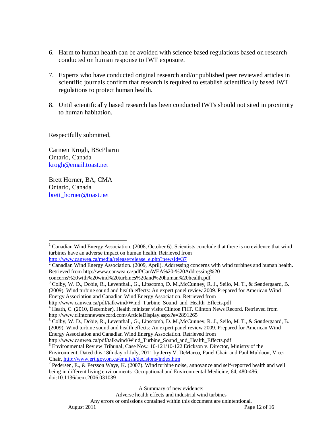- 6. Harm to human health can be avoided with science based regulations based on research conducted on human response to IWT exposure.
- 7. Experts who have conducted original research and/or published peer reviewed articles in scientific journals confirm that research is required to establish scientifically based IWT regulations to protect human health.
- 8. Until scientifically based research has been conducted IWTs should not sited in proximity to human habitation.

Respectfully submitted,

Carmen Krogh, BScPharm Ontario, Canada krogh@email.toast.net

Brett Horner, BA, CMA Ontario, Canada brett\_horner@toast.net

http://www.canwea.ca/media/release/release\_e.php?newsId=37

A Summary of new evidence:

 $\overline{a}$ <sup>1</sup> Canadian Wind Energy Association. (2008, October 6). Scientists conclude that there is no evidence that wind turbines have an adverse impact on human health. Retrieved from

 $2^2$  Canadian Wind Energy Association. (2009, April). Addressing concerns with wind turbines and human health. Retrieved from http://www.canwea.ca/pdf/CanWEA%20-%20Addressing%20

concerns%20with%20wind%20turbines%20and%20human%20health.pdf

<sup>&</sup>lt;sup>3</sup> Colby, W. D., Dobie, R., Leventhall, G., Lipscomb, D. M., McCunney, R. J., Seilo, M. T., & Søndergaard, B.

<sup>(2009).</sup> Wind turbine sound and health effects: An expert panel review 2009. Prepared for American Wind Energy Association and Canadian Wind Energy Association. Retrieved from

http://www.canwea.ca/pdf/talkwind/Wind\_Turbine\_Sound\_and\_Health\_Effects.pdf

<sup>&</sup>lt;sup>4</sup> Heath, C. (2010, December). Health minister visits Clinton FHT. Clinton News Record. Retrieved from http://www.clintonnewsrecord.com/ArticleDisplay.aspx?e=2891265

<sup>&</sup>lt;sup>5</sup> Colby, W. D., Dobie, R., Leventhall, G., Lipscomb, D. M., McCunney, R. J., Seilo, M. T., & Søndergaard, B. (2009). Wind turbine sound and health effects: An expert panel review 2009. Prepared for American Wind Energy Association and Canadian Wind Energy Association. Retrieved from

http://www.canwea.ca/pdf/talkwind/Wind\_Turbine\_Sound\_and\_Health\_Effects.pdf

<sup>&</sup>lt;sup>6</sup> Environmental Review Tribunal, Case Nos.: 10-121/10-122 Erickson v. Director, Ministry of the Environment, Dated this 18th day of July, 2011 by Jerry V. DeMarco, Panel Chair and Paul Muldoon, Vice-Chair, http://www.ert.gov.on.ca/english/decisions/index.htm 7

 $^7$  Pedersen, E., & Persson Waye, K. (2007). Wind turbine noise, annoyance and self-reported health and well being in different living environments. Occupational and Environmental Medicine, 64, 480-486. doi:10.1136/oem.2006.031039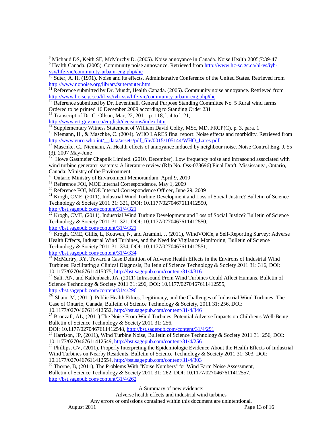$\overline{a}$ <sup>8</sup> Michaud DS, Keith SE, McMurchy D. (2005). Noise annoyance in Canada. Noise Health 2005;7:39-47 <sup>9</sup> Health Canada. (2005). Community noise annoyance. Retrieved from http://www.hc-sc.gc.ca/hl-vs/iyh-

vsv/life-vie/community-urbain-eng.php#he<br>
<sup>10</sup> Suter, A. H. (1991). Noise and its effects. Administrative Conference of the United States. Retrieved from<br>
<sup>11</sup> Pefronnes submitted by N. W. W. Content of the United States.

Reference submitted by Dr. Mundt, Health Canada. (2005). Community noise annoyance. Retrieved from http://www.hc-sc.gc.ca/hl-vs/iyh-vsv/life-vie/community-urbain-eng.php#he<br><sup>12</sup> Reference submitted by Dr. Leventhall, General Purpose Standing Committee No. 5 Rural wind farms

Ordered to be printed 16 December 2009 according to Standing Order 231

<sup>13</sup> Transcript of Dr. C. Ollson, Mar, 22, 2011, p. 118, l. 4 to l.  $21$ , http://www.ert.gov.on.ca/english/decisions/index.htm

<sup>14</sup> Supplementary Witness Statement of William David Colby, MSc, MD, FRCP(C), p. 3, para. 1

<sup>15</sup> Niemann, H., & Maschke, C. (2004). WHO LARES final report: Noise effects and morbidity. Retrieved from http://www.euro.who.int/\_\_data/assets/pdf\_file/0015/105144/WHO\_Lares.pdf

<sup>16</sup> Maschke, C., Niemann, A. Health effects of annoyance induced by neighbour noise. Noise Control Eng. J. 55 (3), 2007 May-June

17 Howe Gastmeier Chapnik Limited. (2010, December). Low frequency noise and infrasound associated with wind turbine generator systems: A literature review (Rfp No. Oss-078696) Final Draft. Mississauga, Ontario, Canada: Ministry of the Environment.

<sup>18</sup> Ontario Ministry of Environment Memorandum, April 9, 2010

19 Reference FOI, MOE Internal Correspondence, May 1, 2009

20 Reference FOI, MOE Internal Correspondence Officer, June 29, 2009

<sup>21</sup> Krogh, CME, (2011), Industrial Wind Turbine Development and Loss of Social Justice? Bulletin of Science Technology & Society 2011 31: 321, DOI: 10.1177/0270467611412550,

http://bst.sagepub.com/content/31/4/321  $22$  Krogh, CME, (2011), Industrial Wind Turbine Development and Loss of Social Justice? Bulletin of Science Technology & Society 2011 31: 321, DOI: 10.1177/0270467611412550, http://bst.sagepub.com/content/31/4/321

<sup>23</sup> Krogh, CME, Gillis, L, Kouwen, N, and Aramini, J, (2011), WindVOiCe, a Self-Reporting Survey: Adverse Health Effects, Industrial Wind Turbines, and the Need for Vigilance Monitoring, Bulletin of Science Technology & Society 2011 31: 334, DOI: 10.1177/0270467611412551, http://bst.sagepub.com/content/31/4/334

 $^{24}$  McMurtry, RY, Toward a Case Definition of Adverse Health Effects in the Environs of Industrial Wind Turbines: Facilitating a Clinical Diagnosis, Bulletin of Science Technology & Society 2011 31: 316, DOI: 10.1177/0270467611415075, http://bst.sagepub.com/content/31/4/316

<sup>25</sup> Salt, AN, and Kaltenbach, JA, (2011) Infrasound From Wind Turbines Could Affect Humans, Bulletin of Science Technology & Society 2011 31: 296, DOI: 10.1177/0270467611412555, http://bst.sagepub.com/content/31/4/296

<sup>26</sup> Shain, M, (2011), Public Health Ethics, Legitimacy, and the Challenges of Industrial Wind Turbines: The Case of Ontario, Canada, Bulletin of Science Technology & Society, 2011 31: 256, DOI: 10.1177/0270467611412552, http://bst.sagepub.com/content/31/4/346

<sup>27</sup> Bronzaft, AL, (2011) The Noise From Wind Turbines: Potential Adverse Impacts on Children's Well-Being, Bulletin of Science Technology & Society 2011 31: 256,<br>DOI: 10.1177/0270467611412548, http://bst.sagepub.com/content/31/4/291

<sup>28</sup> Harrison, JP, (2011), Wind Turbine Noise, Bulletin of Science Technology & Society 2011 31: 256, DOI: 10.1177/0270467611412549, http://bst.sagepub.com/content/31/4/256

 $^{29}$  Phillips, CV, (2011), Properly Interpreting the Epidemiologic Evidence About the Health Effects of Industrial Wind Turbines on Nearby Residents, Bulletin of Science Technology & Society 2011 31: 303, DOI: 10.1177/0270467611412554, http://bst.sagepub.com/content/31/4/303<br><sup>30</sup> Thorne, B, (2011), The Problems With "Noise Numbers" for Wind Farm Noise Assessment,

Bulletin of Science Technology & Society 2011 31: 262, DOI: 10.1177/0270467611412557, http://bst.sagepub.com/content/31/4/262

A Summary of new evidence:

Adverse health effects and industrial wind turbines Any errors or omissions contained within this document are unintentional.<br>Page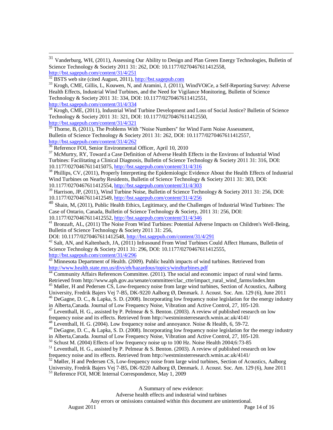31 <sup>31</sup> Vanderburg, WH, (2011), Assessing Our Ability to Design and Plan Green Energy Technologies, Bulletin of Science Technology & Society 2011 31: 262, DOI: 10.1177/0270467611412558, http://bst.sagepub.com/content/31/4/251<br>
<sup>32</sup> BSTS web site (cited August, 2011), http://bst.sagepub.com  $33$  Krogh, CME, Gillis, L, Kouwen, N, and Aramini, J, (2011), WindVOiCe, a Self-Reporting Survey: Adverse

Health Effects, Industrial Wind Turbines, and the Need for Vigilance Monitoring, Bulletin of Science Technology & Society 2011 31: 334, DOI: 10.1177/0270467611412551,

http://bst.sagepub.com/content/31/4/334

<sup>34</sup> Krogh, CME, (2011), Industrial Wind Turbine Development and Loss of Social Justice? Bulletin of Science Technology & Society 2011 31: 321, DOI: 10.1177/0270467611412550,

http://bst.sagepub.com/content/31/4/321  $35$  Thorne, B, (2011), The Problems With "Noise Numbers" for Wind Farm Noise Assessment, Bulletin of Science Technology & Society 2011 31: 262, DOI: 10.1177/0270467611412557, http://bst.sagepub.com/content/31/4/262

<sup>36</sup> Reference FOI, Senior Environmental Officer, April 10, 2010

<sup>37</sup> McMurtry, RY, Toward a Case Definition of Adverse Health Effects in the Environs of Industrial Wind Turbines: Facilitating a Clinical Diagnosis, Bulletin of Science Technology & Society 2011 31: 316, DOI:

10.1177/0270467611415075, http://bst.sagepub.com/content/31/4/316<br><sup>38</sup> Phillips, CV, (2011), Properly Interpreting the Epidemiologic Evidence About the Health Effects of Industrial Wind Turbines on Nearby Residents, Bulletin of Science Technology & Society 2011 31: 303, DOI:

10.1177/0270467611412554, http://bst.sagepub.com/content/31/4/303

<sup>39</sup> Harrison, JP, (2011), Wind Turbine Noise, Bulletin of Science Technology & Society 2011 31: 256, DOI: 10.1177/0270467611412549, http://bst.sagepub.com/content/31/4/256

 $^{40}$  Shain, M, (2011), Public Health Ethics, Legitimacy, and the Challenges of Industrial Wind Turbines: The Case of Ontario, Canada, Bulletin of Science Technology & Society, 2011 31: 256, DOI: 10.1177/0270467611412552, http://bst.sagepub.com/content/31/4/346

<sup>41</sup> Bronzaft, AL, (2011) The Noise From Wind Turbines: Potential Adverse Impacts on Children's Well-Being, Bulletin of Science Technology & Society 2011 31: 256,<br>DOI: 10.1177/0270467611412548, http://bst.sagepub.com/content/31/4/291

 $^{42}$  Salt, AN, and Kaltenbach, JA, (2011) Infrasound From Wind Turbines Could Affect Humans, Bulletin of Science Technology & Society 2011 31: 296, DOI: 10.1177/0270467611412555, http://bst.sagepub.com/content/31/4/296

<sup>43</sup> Minnesota Department of Health. (2009). Public health impacts of wind turbines. Retrieved from http://www.health.state.mn.us/divs/eh/hazardous/topics/windturbines.pdf

<sup>44</sup> Community Affairs References Committee. (2011). The social and economic impact of rural wind farms.

Retrieved from http://www.aph.gov.au/senate/committee/clac\_ctte/impact\_rural\_wind\_farms/index.htm  $^{45}$  Møller, H and Pedersen CS, Low-frequency noise from large wind turbines, Section of Acoustics, Aalborg

University, Fredrik Bajers Vej 7-B5, DK-9220 Aalborg Ø, Denmark. J. Acoust. Soc. Am. 129 (6), June 2011

<sup>46</sup> DeGagne, D. C., & Lapka, S. D. (2008). Incorporating low frequency noise legislation for the energy industry

in Alberta,Canada. Journal of Low Frequency Noise, Vibration and Active Control, 27, 105-120.

<sup>47</sup> Leventhall, H. G., assisted by P. Pelmear & S. Benton. (2003). A review of published research on low

frequency noise and its effects. Retrieved from http://westminsterresearch.wmin.ac.uk/4141/

48 Leventhall, H. G. (2004). Low frequency noise and annoyance. Noise & Health, 6, 59-72.

<sup>49</sup> DeGagne, D. C., & Lapka, S. D. (2008). Incorporating low frequency noise legislation for the energy industry

in Alberta,Canada. Journal of Low Frequency Noise, Vibration and Active Control, 27, 105-120.

50 Schust M. (2004) Effects of low frequency noise up to 100 Hz. Noise Health 2004;6:73-85

51 Leventhall, H. G., assisted by P. Pelmear & S. Benton. (2003). A review of published research on low

frequency noise and its effects. Retrieved from http://westminsterresearch.wmin.ac.uk/4141/

<sup>52</sup> Møller, H and Pedersen CS, Low-frequency noise from large wind turbines, Section of Acoustics, Aalborg

University, Fredrik Bajers Vej 7-B5, DK-9220 Aalborg Ø, Denmark. J. Acoust. Soc. Am. 129 (6), June 2011 53 Reference FOI, MOE Internal Correspondence, May 1, 2009

A Summary of new evidence:

Adverse health effects and industrial wind turbines

Any errors or omissions contained within this document are unintentional.<br>Page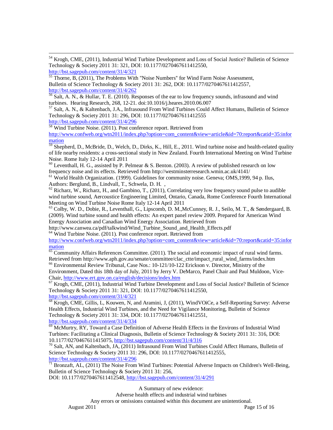$\overline{a}$ <sup>54</sup> Krogh, CME, (2011), Industrial Wind Turbine Development and Loss of Social Justice? Bulletin of Science Technology & Society 2011 31: 321, DOI: 10.1177/0270467611412550,

http://bst.sagepub.com/content/31/4/321

 $55$  Thorne, B,  $(2011)$ , The Problems With "Noise Numbers" for Wind Farm Noise Assessment, Bulletin of Science Technology & Society 2011 31: 262, DOI: 10.1177/0270467611412557, http://bst.sagepub.com/content/31/4/262

56 Salt, A. N., & Hullar, T. E. (2010). Responses of the ear to low frequency sounds, infrasound and wind turbines. Hearing Research, 268, 12-21. doi:10.1016/j.heares.2010.06.007

 $57$  Salt, A. N., & Kaltenbach, J.A., Infrasound From Wind Turbines Could Affect Humans, Bulletin of Science Technology & Society 2011 31: 296, DOI: 10.1177/0270467611412555

http://bst.sagepub.com/content/31/4/296<br><sup>58</sup> Wind Turbine Noise. (2011). Post conference report. Retrieved from http://www.confweb.org/wtn2011/index.php?option=com\_content&view=article&id=70:report&catid=35:infor mation

 $\frac{59}{59}$  Shepherd, D., McBride, D., Welch, D., Dirks, K., Hill, E., 2011. Wind turbine noise and health-related quality of life nearby residents: a cross-sectional study in New Zealand. Fourth International Meeting on Wind Turbine Noise. Rome Italy 12-14 April 2011

 $60$  Leventhall, H. G., assisted by P. Pelmear & S. Benton. (2003). A review of published research on low frequency noise and its effects. Retrieved from http://westminsterresearch.wmin.ac.uk/4141/

<sup>61</sup> World Health Organization. (1999). Guidelines for community noise. Geneva; OMS, 1999, 94 p. Ilus, Authors: Berglund, B., Lindvall, T., Schwela, D. H. ,

 $62$  Richarz, W., Richarz, H., and Gambino, T., (2011), Correlating very low frequency sound pulse to audible wind turbine sound, Aercoustice Engineering Limited, Ontario, Canada, Rome Conference Fourth International Meeting on Wind Turbine Noise Rome Italy 12-14 April 2011

63 Colby, W. D., Dobie, R., Leventhall, G., Lipscomb, D. M.,McCunney, R. J., Seilo, M. T., & Søndergaard, B. (2009). Wind turbine sound and health effects: An expert panel review 2009. Prepared for American Wind Energy Association and Canadian Wind Energy Association. Retrieved from

http://www.canwea.ca/pdf/talkwind/Wind\_Turbine\_Sound\_and\_Health\_Effects.pdf <sup>64</sup> Wind Turbine Noise. (2011). Post conference report. Retrieved from

http://www.confweb.org/wtn2011/index.php?option=com\_content&view=article&id=70:report&catid=35:infor mation

 $\overline{65}$  Community Affairs References Committee. (2011). The social and economic impact of rural wind farms. Retrieved from http://www.aph.gov.au/senate/committee/clac\_ctte/impact\_rural\_wind\_farms/index.htm

66 Environmental Review Tribunal, Case Nos.: 10-121/10-122 Erickson v. Director, Ministry of the Environment, Dated this 18th day of July, 2011 by Jerry V. DeMarco, Panel Chair and Paul Muldoon, Vice-<br>Chair, http://www.ert.gov.on.ca/english/decisions/index.htm

 $^{67}$  Krogh, CME, (2011), Industrial Wind Turbine Development and Loss of Social Justice? Bulletin of Science Technology & Society 2011 31: 321, DOI: 10.1177/0270467611412550,

http://bst.sagepub.com/content/31/4/321

<sup>68</sup> Krogh, CME, Gillis, L, Kouwen, N, and Aramini, J, (2011), WindVOiCe, a Self-Reporting Survey: Adverse Health Effects, Industrial Wind Turbines, and the Need for Vigilance Monitoring, Bulletin of Science Technology & Society 2011 31: 334, DOI: 10.1177/0270467611412551, http://bst.sagepub.com/content/31/4/334

 $\overline{69}$  McMurtry, RY, Toward a Case Definition of Adverse Health Effects in the Environs of Industrial Wind Turbines: Facilitating a Clinical Diagnosis, Bulletin of Science Technology & Society 2011 31: 316, DOI: 10.1177/0270467611415075, http://bst.sagepub.com/content/31/4/316

 $10^7$  Salt, AN, and Kaltenbach, JA, (2011) Infrasound From Wind Turbines Could Affect Humans, Bulletin of Science Technology & Society 2011 31: 296, DOI: 10.1177/0270467611412555, http://bst.sagepub.com/content/31/4/296

 $71$  Bronzaft, AL, (2011) The Noise From Wind Turbines: Potential Adverse Impacts on Children's Well-Being, Bulletin of Science Technology & Society 2011 31: 256,

DOI: 10.1177/0270467611412548, http://bst.sagepub.com/content/31/4/291

A Summary of new evidence:

Adverse health effects and industrial wind turbines Any errors or omissions contained within this document are unintentional. August 2011 Page 15 of 16